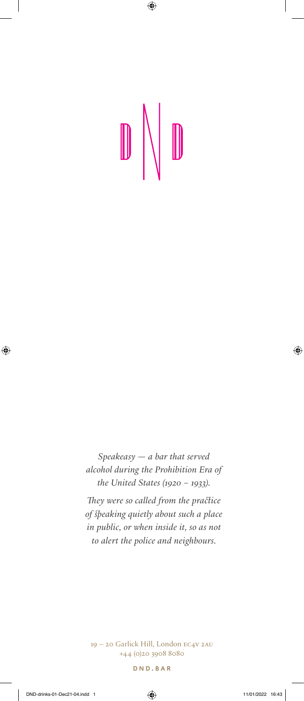$\overline{\phantom{a}}$ 

 $\bigoplus$ 

 $\mathbb{D}$  $\mathbb{D}$ 

 $Speakeasy - a bar that served$ alcohol during the Prohibition Era of the United States (1920 - 1933).

They were so called from the practice of Speaking quietly about such a place in public, or when inside it, so as not to alert the police and neighbours.

19 – 20 Garlick Hill, London EC4V 2AU +44 (0)20 3908 8080

DND.BAR



⊕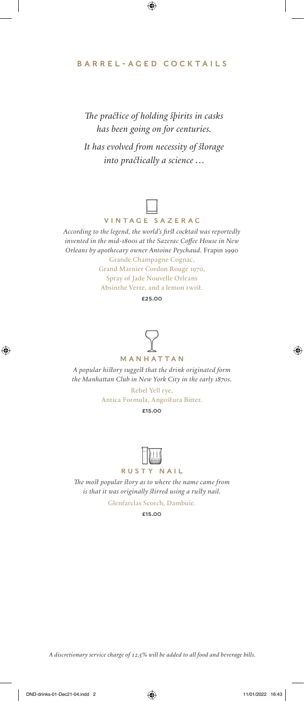#### BARREL-AGED COCKTAILS

 $\bigoplus$ 

The practice of holding spirits in casks has been going on for centuries. It has evolved from necessity of storage into practically a science ...



According to the legend, the world's first cocktail was reportedly invented in the mid-1800s at the Sazerac Coffee House in New Orleans by apothecary owner Antoine Peychaud. Frapin 1990 Grande Champagne Cognac, Grand Marnier Cordon Rouge 1970, Spray of Jade Nouvelle Orleans Absinthe Verte, and a lemon twist.

£25.00



MANHATTAN

A popular history suggest that the drink originated form the Manhattan Club in New York City in the early 1870s.

> Rebel Yell rye, Antica Formula, Angostura Bitter.

£15.00



#### RUSTY NAIL

The most popular story as to where the name came from is that it was originally stirred using a rusty nail.

Glenfarclas Scotch, Dambuie.

£15.00

A discretionary service charge of 12.5% will be added to all food and beverage bills.

 $\bigoplus$ 

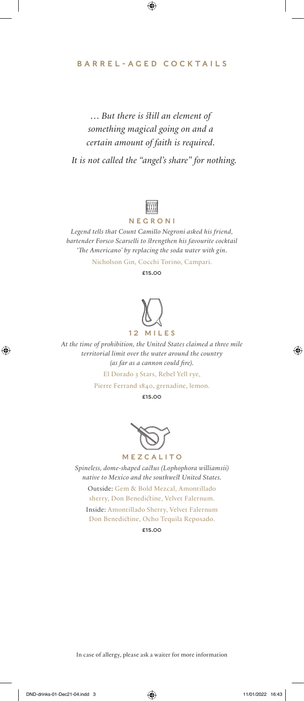#### BARREL-AGED COCKTAILS

 $\bigoplus$ 

# ... But there is *Still an element of* something magical going on and a certain amount of faith is required.

It is not called the "angel's share" for nothing.



#### NEGRONI

Legend tells that Count Camillo Negroni asked his friend, bartender Forsco Scarselli to strengthen his favourite cocktail 'The Americano' by replacing the soda water with gin.

Nicholson Gin, Cocchi Torino, Campari.

£15.00

# 12 MILES

# At the time of prohibition, the United States claimed a three mile

territorial limit over the water around the country (as far as a cannon could fire).

El Dorado 3 Stars, Rebel Yell rye,

Pierre Ferrand 1840, grenadine, lemon.

£15.00



MEZCALITO

Spineless, dome-shaped cactus (Lophophora williamsii) native to Mexico and the southwest United States.

Outside: Gem & Bold Mezcal, Amontillado sherry, Don Benedictine, Velvet Falernum. Inside: Amontillado Sherry, Velvet Falernum Don Benedictine, Ocho Tequila Reposado.

£15.00

In case of allergy, please ask a waiter for more information

 $\bigoplus$ 

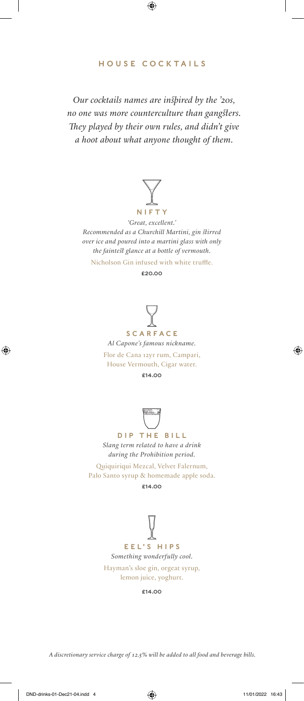# HOUSE COCKTAILS

 $\bigoplus$ 

Our cocktails names are inspired by the  $20s$ , no one was more counterculture than gangsters. They played by their own rules, and didn't give a hoot about what anyone thought of them.



'Great, excellent.' Recommended as a Churchill Martini, gin stirred over ice and poured into a martini glass with only the faintest glance at a bottle of vermouth.

Nicholson Gin infused with white truffle.

£20.00



Al Capone's famous nickname.

Flor de Cana 12yr rum, Campari, House Vermouth, Cigar water.

£14.00



DIP THE BILL Slang term related to have a drink during the Prohibition period.

Quiquiriqui Mezcal, Velvet Falernum, Palo Santo syrup & homemade apple soda.

£14.00



Hayman's sloe gin, orgeat syrup, lemon juice, yoghurt.

£14.00

A discretionary service charge of 12.5% will be added to all food and beverage bills.

 $\bigoplus$ 

♠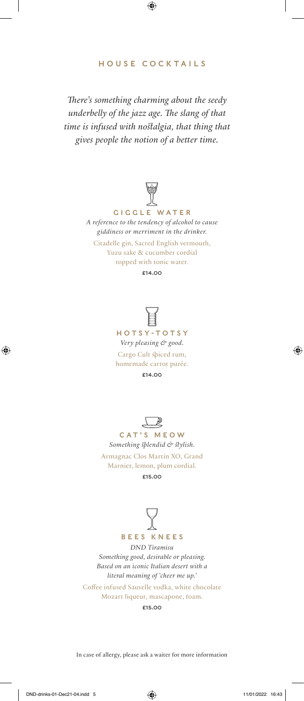#### HOUSE COCKTAILS

 $\bigoplus$ 

There's something charming about the seedy underbelly of the jazz age. The slang of that time is infused with nostalgia, that thing that gives people the notion of a better time.



GIGGLE WATER A reference to the tendency of alcohol to cause giddiness or merriment in the drinker.

Citadelle gin, Sacred English vermouth, Yuzu sake & cucumber cordial topped with tonic water.

£14.00





Something splendid & stylish. Armagnac Clos Martin XO, Grand Marnier, lemon, plum cordial. £15.00



DND Tiramisu Something good, desirable or pleasing. Based on an iconic Italian desert with a literal meaning of 'cheer me up.'

Coffee infused Sauvelle vodka, white chocolate Mozart liqueur, mascapone, foam.

£15.00

In case of allergy, please ask a waiter for more information

 $\bigoplus$ 



♠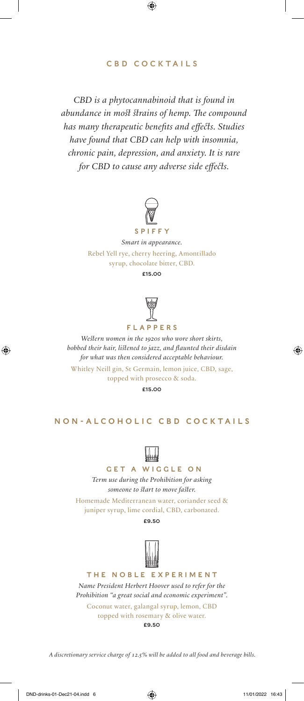# CBD COCKTAILS

 $\bigoplus$ 

CBD is a phytocannabinoid that is found in abundance in most strains of hemp. The compound has many therapeutic benefits and effects. Studies have found that CBD can help with insomnia, chronic pain, depression, and anxiety. It is rare for CBD to cause any adverse side effects.



## SPIFFY

Smart in appearance. Rebel Yell rye, cherry heering, Amontillado syrup, chocolate bitter, CBD.

£15.00



#### FLAPPERS

Western women in the 1920s who wore short skirts, bobbed their hair, listened to jazz, and flaunted their disdain for what was then considered acceptable behaviour.

Whitley Neill gin, St Germain, lemon juice, CBD, sage, topped with prosecco & soda.

£15.00

#### NON-ALCOHOLIC CBD COCKTAILS



#### GET A WIGGLE ON

Term use during the Prohibition for asking someone to start to move faster.

Homemade Mediterranean water, coriander seed & juniper syrup, lime cordial, CBD, carbonated.

£9.50



THE NOBLE EXPERIMENT Name President Herbert Hoover used to refer for the Prohibition "a great social and economic experiment".

Coconut water, galangal syrup, lemon, CBD topped with rosemary & olive water. £9.50

A discretionary service charge of 12.5% will be added to all food and beverage bills.

 $\bigoplus$ 

♠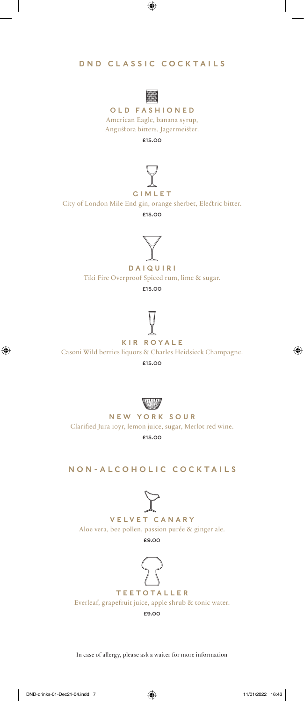# DND CLASSIC COCKTAILS

 $\bigoplus$ 



OLD FASHIONED American Eagle, banana syrup, Angustora bitters, Jagermeister.

£15.00



GIMLET

City of London Mile End gin, orange sherbet, Electric bitter.

£15.00



DAIQUIRI Tiki Fire Overproof Spiced rum, lime & sugar.

£15.00



KIR ROYALE

Casoni Wild berries liquors & Charles Heidsieck Champagne.

£15.00



NEW YORK SOUR Clarified Jura 10yr, lemon juice, sugar, Merlot red wine. £15.00

NON-ALCOHOLIC COCKTAILS



VELVET CANARY Aloe vera, bee pollen, passion purée & ginger ale. £9.00



TEETOTALLER Everleaf, grapefruit juice, apple shrub & tonic water. £9.00

In case of allergy, please ask a waiter for more information

 $\bigoplus$ 

⊕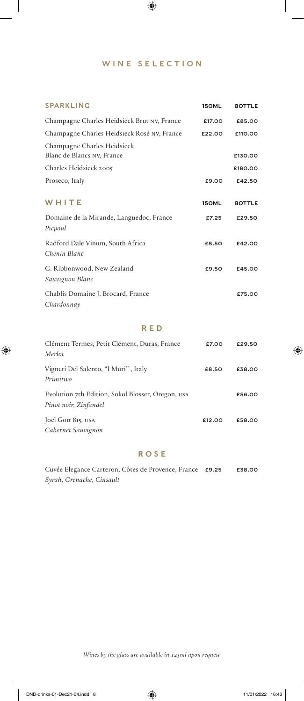# WINE SELECTION

 $\bigoplus$ 

 $\overline{\phantom{a}}$ 

 $\bigoplus$ 

| <b>SPARKLING</b>                                          | 150ML  | <b>BOTTLE</b> |
|-----------------------------------------------------------|--------|---------------|
| Champagne Charles Heidsieck Brut NV, France               | £17.00 | £85.00        |
| Champagne Charles Heidsieck Rosé NV, France               | £22.00 | £110.00       |
| Champagne Charles Heidsieck<br>Blanc de Blancs NV, France |        | £130.00       |
| Charles Heidsieck 2005                                    |        | £180.00       |
| Proseco, Italy                                            | £9.00  | £42.50        |
| WHITE                                                     | 150ML  | <b>BOTTLE</b> |
| Domaine de la Mirande, Languedoc, France<br>Picpoul       | £7.25  | £29.50        |
| Radford Dale Vinum, South Africa<br>Chenin Blanc          | £8.50  | £42.00        |
| G. Ribbonwood, New Zealand<br>Sauvignon Blanc             | £9.50  | £45.00        |
| Chablis Domaine J. Brocard, France<br>Chardonnay          |        | £75.00        |

#### RED

| Clément Termes, Petit Clément, Duras, France                               | £7.00  | £29.50 |
|----------------------------------------------------------------------------|--------|--------|
| Merlot                                                                     |        |        |
| Vigneti Del Salento, "I Muri", Italy<br>Primitivo                          | £8.50  | £38.00 |
| Evolution 7th Edition, Sokol Blosser, Oregon, USA<br>Pinot noir, Zinfandel |        | £56.00 |
| Joel Gott 815, USA<br>Cabernet Sauvignon                                   | £12.00 | £58.00 |

#### ROSE

Cuvée Elegance Carteron, Côtes de Provence, France £9.25 £38.00 Syrah, Grenache, Cinsault

Wines by the glass are available in 125ml upon request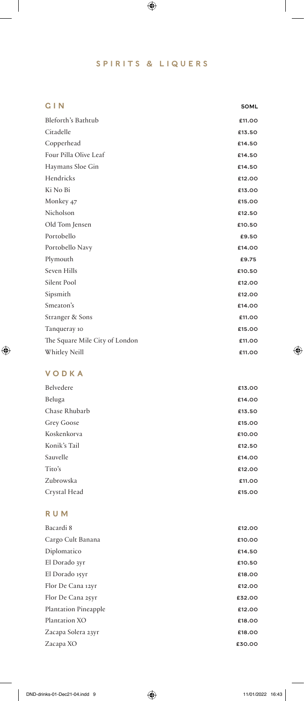# SPIRITS & LIQUERS

 $\bigoplus$ 

| GIN                            | 50ML   |
|--------------------------------|--------|
| Bleforth's Bathtub             | £11.00 |
| Citadelle                      | £13.50 |
| Copperhead                     | £14.50 |
| Four Pilla Olive Leaf          | £14.50 |
| Haymans Sloe Gin               | £14.50 |
| Hendricks                      | £12.00 |
| Ki No Bi                       | £13.00 |
| Monkey 47                      | £15.00 |
| Nicholson                      | £12.50 |
| Old Tom Jensen                 | £10.50 |
| Portobello                     | £9.50  |
| Portobello Navy                | £14.00 |
| Plymouth                       | £9.75  |
| Seven Hills                    | £10.50 |
| Silent Pool                    | £12.00 |
| Sipsmith                       | £12.00 |
| Smeaton's                      | £14.00 |
| Stranger & Sons                | £11.00 |
| Tanqueray 10                   | £15.00 |
| The Square Mile City of London | £11.00 |
| Whitley Neill                  | £11.00 |

# VODKA

 $\bigoplus$ 

 $\overline{\phantom{a}}$ 

| Belvedere     | £13.00 |
|---------------|--------|
| Beluga        | £14.00 |
| Chase Rhubarb | £13.50 |
| Grey Goose    | £15.00 |
| Koskenkorva   | £10.00 |
| Konik's Tail  | £12.50 |
| Sauvelle      | £14.00 |
| Tito's        | £12.00 |
| Zubrowska     | £11.00 |
| Crystal Head  | £15.00 |
|               |        |

# RUM

| Bacardi 8                   | £12.00 |
|-----------------------------|--------|
| Cargo Cult Banana           | £10.00 |
| Diplomatico                 | £14.50 |
| El Dorado 3yr               | £10.50 |
| El Dorado 15yr              | £18,00 |
| Flor De Cana 12yr           | £12.00 |
| Flor De Cana 25yr           | £32.00 |
| <b>Plantation Pineapple</b> | £12.00 |
| Plantation XO               | £18,00 |
| Zacapa Solera 23yr          | £18,00 |
| Zacapa XO                   | £30.00 |
|                             |        |

 $\bigoplus$ 

 $\overline{\phantom{a}}$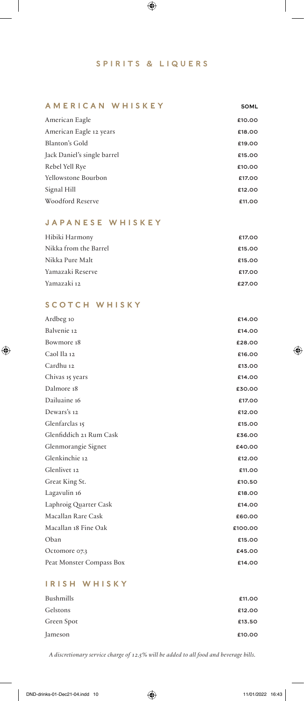#### SPIRITS & LIQUERS

 $\bigoplus$ 

#### AMERICAN WHISKEY 50ML

| American Eagle              | £10.00 |
|-----------------------------|--------|
| American Eagle 12 years     | £18.00 |
| Blanton's Gold              | £19.00 |
| Jack Daniel's single barrel | £15,00 |
| Rebel Yell Rye              | £10.00 |
| Yellowstone Bourbon         | £17.00 |
| Signal Hill                 | £12.00 |
| Woodford Reserve            | £11.00 |
|                             |        |

#### JAPANESE WHISKEY

 $\overline{\phantom{a}}$ 

 $\bigoplus$ 

| Hibiki Harmony        | £17.00 |
|-----------------------|--------|
| Nikka from the Barrel | £15,00 |
| Nikka Pure Malt       | £15,00 |
| Yamazaki Reserve      | £17.00 |
| Yamazaki 12           | £27.00 |

#### SCOTCH WHISKY

| Ardbeg 10                | £14.00  |
|--------------------------|---------|
| Balvenie 12              | £14.00  |
| Bowmore 18               | £28.00  |
| Caol Ila 12              | £16.00  |
| Cardhu 12                | £13.00  |
| Chivas 15 years          | £14.00  |
| Dalmore 18               | £30.00  |
| Dailuaine 16             | £17.00  |
| Dewars's 12              | £12.00  |
| Glenfarclas 15           | £15.00  |
| Glenfiddich 21 Rum Cask  | £36.00  |
| Glenmorangie Signet      | £40.00  |
| Glenkinchie 12           | £12.00  |
| Glenlivet 12             | £11.00  |
| Great King St.           | £10.50  |
| Lagavulin 16             | £18,00  |
| Laphroig Quarter Cask    | £14.00  |
| Macallan Rare Cask       | £60.00  |
| Macallan 18 Fine Oak     | £100.00 |
| Oban                     | £15.00  |
| Octomore 07.3            | £45.00  |
| Peat Monster Compass Box | £14.00  |
|                          |         |

# IRISH WHISKY

| Bushmills  | £11.00 |
|------------|--------|
| Gelstons   | £12.00 |
| Green Spot | £13.50 |
| Jameson    | £10.00 |

A discretionary service charge of 12.5% will be added to all food and beverage bills.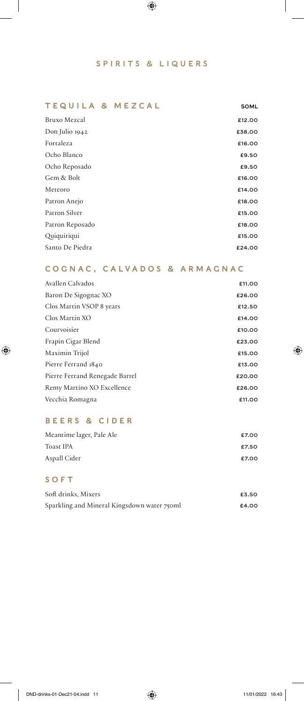#### SPIRITS & LIQUERS

 $\bigoplus$ 

#### TEQUILA & MEZCAL 50ML

 $\overline{\phantom{a}}$ 

| £12.00 |
|--------|
| £38.00 |
| £16.00 |
| £9.50  |
| £9.50  |
| £16.00 |
| £14.00 |
| £18,00 |
| £15.00 |
| £18,00 |
| £15.00 |
| £24.00 |
|        |

## COGNAC, CALVADOS & ARMAGNAC

| Avallen Calvados               | £11.00 |
|--------------------------------|--------|
| Baron De Sigognac XO           | £26.00 |
| Clos Martin VSOP 8 years       | £12.50 |
| Clos Martin XO                 | £14.00 |
| Courvoisier                    | £10.00 |
| Frapin Cigar Blend             | £23.00 |
| Maximin Trijol                 | £15,00 |
| Pierre Ferrand 1840            | £13.00 |
| Pierre Ferrand Renegade Barrel | £20.00 |
| Remy Martino XO Excellence     | £26.00 |
| Vecchia Romagna                | £11.00 |

# BEERS & CIDER

| Meantime lager, Pale Ale | £7.00 |
|--------------------------|-------|
| Toast IPA                | £7.50 |
| Aspall Cider             | £7.00 |

#### SOFT

| Soft drinks, Mixers                         | £3.50 |
|---------------------------------------------|-------|
| Sparkling and Mineral Kingsdown water 750ml | £4.00 |